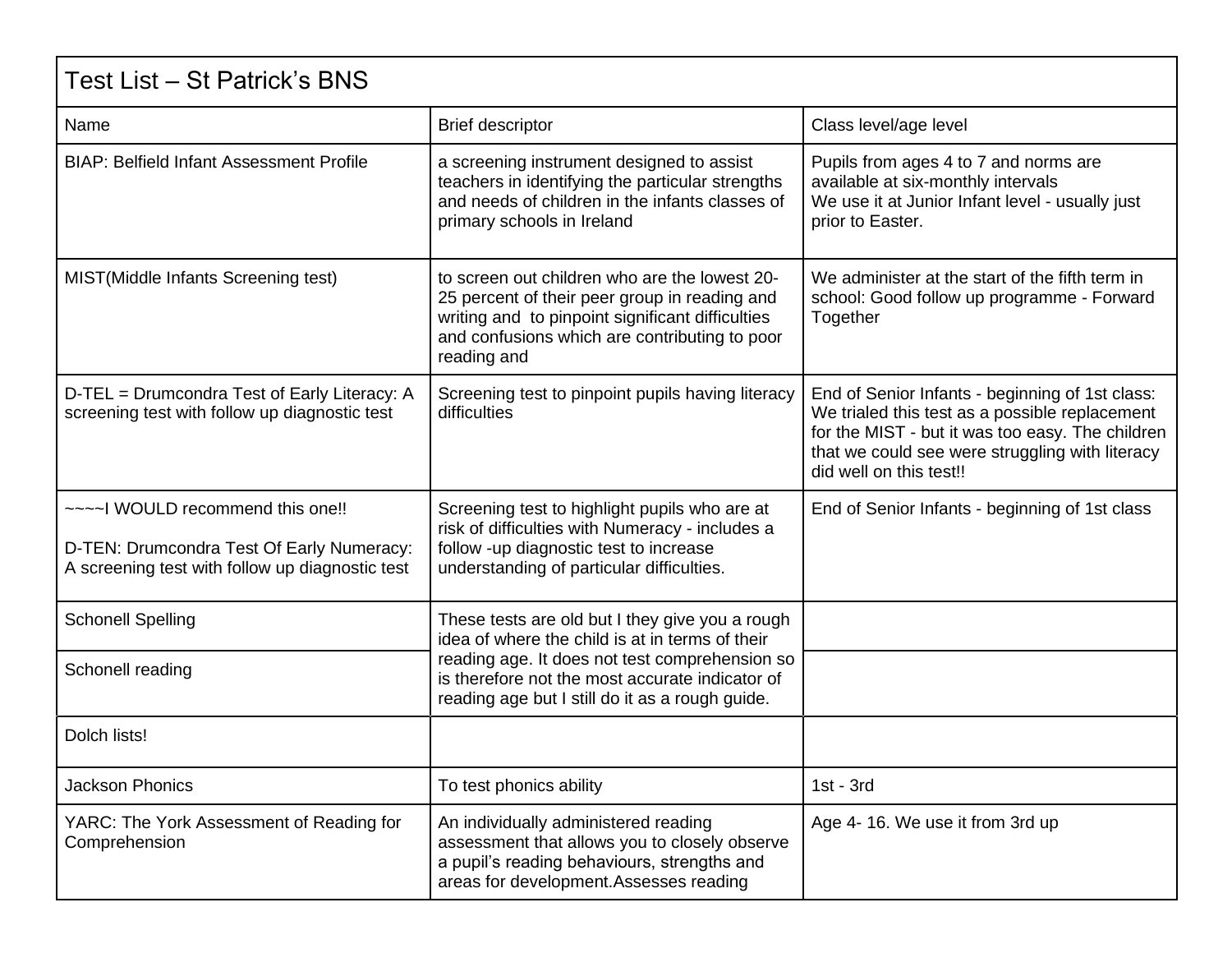| Test List – St Patrick's BNS                                                                                                    |                                                                                                                                                                                                                                                            |                                                                                                                                                                                                                                     |  |
|---------------------------------------------------------------------------------------------------------------------------------|------------------------------------------------------------------------------------------------------------------------------------------------------------------------------------------------------------------------------------------------------------|-------------------------------------------------------------------------------------------------------------------------------------------------------------------------------------------------------------------------------------|--|
| Name                                                                                                                            | <b>Brief descriptor</b>                                                                                                                                                                                                                                    | Class level/age level                                                                                                                                                                                                               |  |
| <b>BIAP: Belfield Infant Assessment Profile</b>                                                                                 | a screening instrument designed to assist<br>teachers in identifying the particular strengths<br>and needs of children in the infants classes of<br>primary schools in Ireland                                                                             | Pupils from ages 4 to 7 and norms are<br>available at six-monthly intervals<br>We use it at Junior Infant level - usually just<br>prior to Easter.                                                                                  |  |
| MIST(Middle Infants Screening test)                                                                                             | to screen out children who are the lowest 20-<br>25 percent of their peer group in reading and<br>writing and to pinpoint significant difficulties<br>and confusions which are contributing to poor<br>reading and                                         | We administer at the start of the fifth term in<br>school: Good follow up programme - Forward<br>Together                                                                                                                           |  |
| D-TEL = Drumcondra Test of Early Literacy: A<br>screening test with follow up diagnostic test                                   | Screening test to pinpoint pupils having literacy<br>difficulties                                                                                                                                                                                          | End of Senior Infants - beginning of 1st class:<br>We trialed this test as a possible replacement<br>for the MIST - but it was too easy. The children<br>that we could see were struggling with literacy<br>did well on this test!! |  |
| ~~~~ WOULD recommend this one!!<br>D-TEN: Drumcondra Test Of Early Numeracy:<br>A screening test with follow up diagnostic test | Screening test to highlight pupils who are at<br>risk of difficulties with Numeracy - includes a<br>follow -up diagnostic test to increase<br>understanding of particular difficulties.                                                                    | End of Senior Infants - beginning of 1st class                                                                                                                                                                                      |  |
| <b>Schonell Spelling</b>                                                                                                        | These tests are old but I they give you a rough<br>idea of where the child is at in terms of their<br>reading age. It does not test comprehension so<br>is therefore not the most accurate indicator of<br>reading age but I still do it as a rough guide. |                                                                                                                                                                                                                                     |  |
| Schonell reading                                                                                                                |                                                                                                                                                                                                                                                            |                                                                                                                                                                                                                                     |  |
| Dolch lists!                                                                                                                    |                                                                                                                                                                                                                                                            |                                                                                                                                                                                                                                     |  |
| <b>Jackson Phonics</b>                                                                                                          | To test phonics ability                                                                                                                                                                                                                                    | $1st - 3rd$                                                                                                                                                                                                                         |  |
| YARC: The York Assessment of Reading for<br>Comprehension                                                                       | An individually administered reading<br>assessment that allows you to closely observe<br>a pupil's reading behaviours, strengths and<br>areas for development. Assesses reading                                                                            | Age 4-16. We use it from 3rd up                                                                                                                                                                                                     |  |